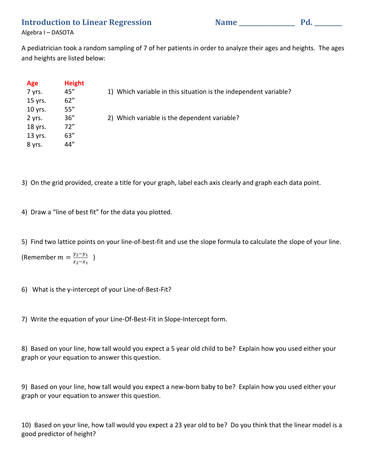**Introduction to Linear Regression Name \_\_\_\_\_\_\_\_\_\_\_\_\_\_\_\_\_\_ Pd. \_\_\_\_\_\_\_\_\_**

Algebra I – DASOTA

A pediatrician took a random sampling of 7 of her patients in order to analyze their ages and heights. The ages and heights are listed below:

| Age     | <b>Height</b> |                                                                  |
|---------|---------------|------------------------------------------------------------------|
| 7 yrs.  | 45"           | 1) Which variable in this situation is the independent variable? |
| 15 yrs. | 62''          |                                                                  |
| 10 yrs. | 55''          |                                                                  |
| 2 yrs.  | 36''          | 2) Which variable is the dependent variable?                     |
| 18 yrs. | 72"           |                                                                  |
| 13 yrs. | 63''          |                                                                  |
| 8 yrs.  | 44"           |                                                                  |

3) On the grid provided, create a title for your graph, label each axis clearly and graph each data point.

4) Draw a "line of best fit" for the data you plotted.

5) Find two lattice points on your line-of-best-fit and use the slope formula to calculate the slope of your line.

(Remember  $m = \frac{y_2 - y_1}{x_2 - x_1}$ )

6) What is the y-intercept of your Line-of-Best-Fit?

7) Write the equation of your Line-Of-Best-Fit in Slope-Intercept form.

8) Based on your line, how tall would you expect a 5 year old child to be? Explain how you used either your graph or your equation to answer this question.

9) Based on your line, how tall would you expect a new-born baby to be? Explain how you used either your graph or your equation to answer this question.

10) Based on your line, how tall would you expect a 23 year old to be? Do you think that the linear model is a good predictor of height?